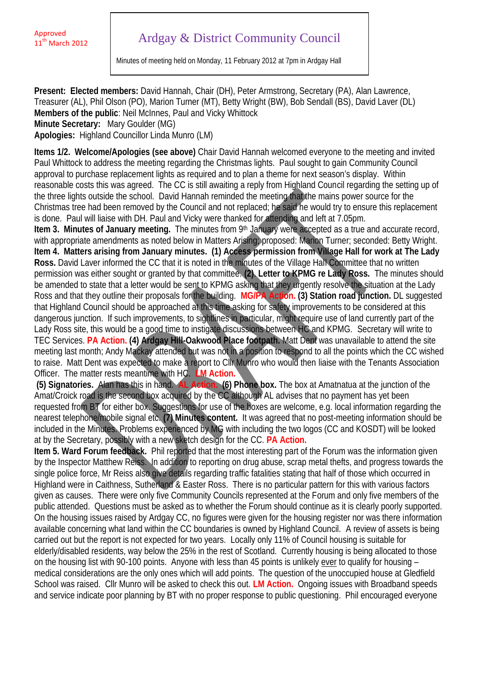## Ardgay & District Community Council

Minutes of meeting held on Monday, 11 February 2012 at 7pm in Ardgay Hall

**Present: Elected members:** David Hannah, Chair (DH), Peter Armstrong, Secretary (PA), Alan Lawrence, Treasurer (AL), Phil Olson (PO), Marion Turner (MT), Betty Wright (BW), Bob Sendall (BS), David Laver (DL) **Members of the public**: Neil McInnes, Paul and Vicky Whittock **Minute Secretary:** Mary Goulder (MG) **Apologies:** Highland Councillor Linda Munro (LM)

**Items 1/2. Welcome/Apologies (see above)** Chair David Hannah welcomed everyone to the meeting and invited Paul Whittock to address the meeting regarding the Christmas lights. Paul sought to gain Community Council approval to purchase replacement lights as required and to plan a theme for next season's display. Within reasonable costs this was agreed. The CC is still awaiting a reply from Highland Council regarding the setting up of the three lights outside the school. David Hannah reminded the meeting that the mains power source for the Christmas tree had been removed by the Council and not replaced; he said he would try to ensure this replacement is done. Paul will liaise with DH. Paul and Vicky were thanked for attending and left at 7.05pm.

**Item 3. Minutes of January meeting.** The minutes from 9<sup>th</sup> January were accepted as a true and accurate record, with appropriate amendments as noted below in Matters Arising; proposed: Marion Turner; seconded: Betty Wright. **Item 4. Matters arising from January minutes. (1) Access permission from Village Hall for work at The Lady Ross.** David Laver informed the CC that it is noted in the minutes of the Village Hall Committee that no written permission was either sought or granted by that committee. **(2)**. **Letter to KPMG re Lady Ross.** The minutes should be amended to state that a letter would be sent to KPMG asking that they urgently resolve the situation at the Lady Ross and that they outline their proposals for the building. **MG/PA Action. (3) Station road junction.** DL suggested that Highland Council should be approached at this time asking for safety improvements to be considered at this dangerous junction. If such improvements, to sightlines in particular, might require use of land currently part of the Lady Ross site, this would be a good time to instigate discussions between HC and KPMG. Secretary will write to TEC Services. **PA Action. (4) Ardgay Hill-Oakwood Place footpath.** Matt Dent was unavailable to attend the site meeting last month; Andy Mackay attended but was not in a position to respond to all the points which the CC wished to raise. Matt Dent was expected to make a report to Cllr Munro who would then liaise with the Tenants Association Officer. The matter rests meantime with HC. **LM Action.**

**(5) Signatories.** Alan has this in hand. **AL Action. (6) Phone box.** The box at Amatnatua at the junction of the Amat/Croick road is the second box acquired by the CC although AL advises that no payment has yet been requested from BT for either box. Suggestions for use of the boxes are welcome, e.g. local information regarding the nearest telephone/mobile signal etc. **(7) Minutes content.** It was agreed that no post-meeting information should be included in the Minutes. Problems experienced by MG with including the two logos (CC and KOSDT) will be looked at by the Secretary, possibly with a new sketch design for the CC. **PA Action.**

**Item 5. Ward Forum feedback.** Phil reported that the most interesting part of the Forum was the information given by the Inspector Matthew Reiss. In addition to reporting on drug abuse, scrap metal thefts, and progress towards the single police force, Mr Reiss also give details regarding traffic fatalities stating that half of those which occurred in Highland were in Caithness, Sutherland & Easter Ross. There is no particular pattern for this with various factors given as causes. There were only five Community Councils represented at the Forum and only five members of the public attended. Questions must be asked as to whether the Forum should continue as it is clearly poorly supported. On the housing issues raised by Ardgay CC, no figures were given for the housing register nor was there information available concerning what land within the CC boundaries is owned by Highland Council. A review of assets is being carried out but the report is not expected for two years. Locally only 11% of Council housing is suitable for elderly/disabled residents, way below the 25% in the rest of Scotland. Currently housing is being allocated to those on the housing list with 90-100 points. Anyone with less than 45 points is unlikely ever to qualify for housing – medical considerations are the only ones which will add points. The question of the unoccupied house at Gledfield School was raised. Cllr Munro will be asked to check this out. **LM Action.** Ongoing issues with Broadband speeds and service indicate poor planning by BT with no proper response to public questioning. Phil encouraged everyone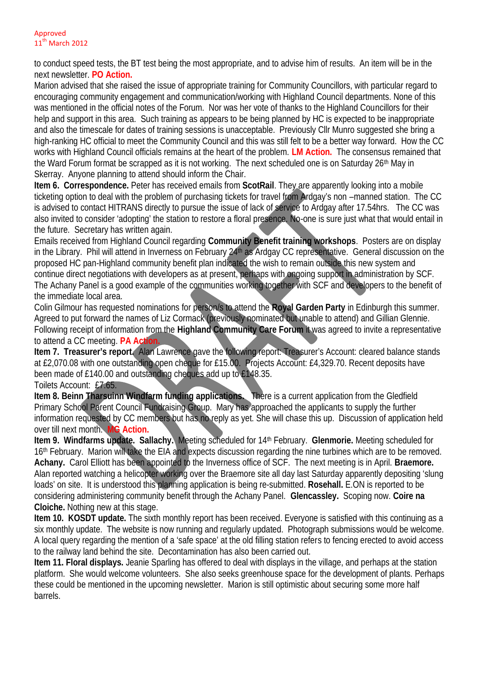## Approved 11<sup>th</sup> March 2012

to conduct speed tests, the BT test being the most appropriate, and to advise him of results. An item will be in the next newsletter. **PO Action.**

Marion advised that she raised the issue of appropriate training for Community Councillors, with particular regard to encouraging community engagement and communication/working with Highland Council departments. None of this was mentioned in the official notes of the Forum. Nor was her vote of thanks to the Highland Councillors for their help and support in this area. Such training as appears to be being planned by HC is expected to be inappropriate and also the timescale for dates of training sessions is unacceptable. Previously Cllr Munro suggested she bring a high-ranking HC official to meet the Community Council and this was still felt to be a better way forward. How the CC works with Highland Council officials remains at the heart of the problem. **LM Action.** The consensus remained that the Ward Forum format be scrapped as it is not working. The next scheduled one is on Saturday 26th May in Skerray. Anyone planning to attend should inform the Chair.

**Item 6. Correspondence.** Peter has received emails from **ScotRail**. They are apparently looking into a mobile ticketing option to deal with the problem of purchasing tickets for travel from Ardgay's non –manned station. The CC is advised to contact HITRANS directly to pursue the issue of lack of service to Ardgay after 17.54hrs. The CC was also invited to consider 'adopting' the station to restore a floral presence. No-one is sure just what that would entail in the future. Secretary has written again.

Emails received from Highland Council regarding **Community Benefit training workshops**. Posters are on display in the Library. Phil will attend in Inverness on February 24th as Ardgay CC representative. General discussion on the proposed HC pan-Highland community benefit plan indicated the wish to remain outside this new system and continue direct negotiations with developers as at present, perhaps with ongoing support in administration by SCF. The Achany Panel is a good example of the communities working together with SCF and developers to the benefit of the immediate local area.

Colin Gilmour has requested nominations for person/s to attend the **Royal Garden Party** in Edinburgh this summer. Agreed to put forward the names of Liz Cormack (previously nominated but unable to attend) and Gillian Glennie. Following receipt of information from the **Highland Community Care Forum** it was agreed to invite a representative to attend a CC meeting. **PA Action.**

**Item 7. Treasurer's report.** Alan Lawrence gave the following report: Treasurer's Account: cleared balance stands at £2,070.08 with one outstanding open cheque for £15.00. Projects Account: £4,329.70. Recent deposits have been made of £140.00 and outstanding cheques add up to £148.35.

Toilets Account: £7.65.

**Item 8. Beinn Tharsuinn Windfarm funding applications.** There is a current application from the Gledfield Primary School Parent Council Fundraising Group. Mary has approached the applicants to supply the further information requested by CC members but has no reply as yet. She will chase this up. Discussion of application held over till next month. **MG Action.**

**Item 9. Windfarms update. Sallachy.** Meeting scheduled for 14th February. **Glenmorie.** Meeting scheduled for 16th February. Marion will take the EIA and expects discussion regarding the nine turbines which are to be removed. **Achany.** Carol Elliott has been appointed to the Inverness office of SCF. The next meeting is in April. **Braemore.** Alan reported watching a helicopter working over the Braemore site all day last Saturday apparently depositing 'slung loads' on site. It is understood this planning application is being re-submitted. **Rosehall.** E.ON is reported to be considering administering community benefit through the Achany Panel. **Glencassley.** Scoping now. **Coire na Cloiche.** Nothing new at this stage.

**Item 10. KOSDT update.** The sixth monthly report has been received. Everyone is satisfied with this continuing as a six monthly update. The website is now running and regularly updated. Photograph submissions would be welcome. A local query regarding the mention of a 'safe space' at the old filling station refers to fencing erected to avoid access to the railway land behind the site. Decontamination has also been carried out.

**Item 11. Floral displays.** Jeanie Sparling has offered to deal with displays in the village, and perhaps at the station platform. She would welcome volunteers. She also seeks greenhouse space for the development of plants. Perhaps these could be mentioned in the upcoming newsletter. Marion is still optimistic about securing some more half barrels.